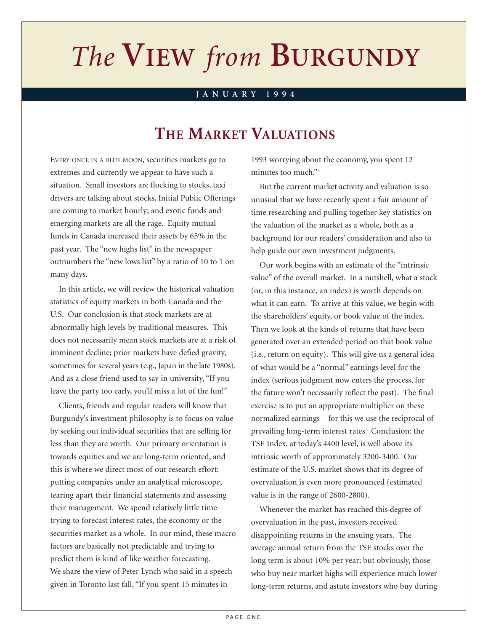# *The* **VIEW** *from* **BURGUNDY** *The* **VIEW** *from* **BURGUNDY**

#### **JANUARY 1994**

# **THE MARKET VALUATIONS**

EVERY ONCE IN A BLUE MOON, securities markets go to extremes and currently we appear to have such a situation. Small investors are flocking to stocks, taxi drivers are talking about stocks, Initial Public Offerings are coming to market hourly; and exotic funds and emerging markets are all the rage. Equity mutual funds in Canada increased their assets by 65% in the past year. The "new highs list" in the newspaper outnumbers the "new lows list" by a ratio of 10 to 1 on many days.

In this article, we will review the historical valuation statistics of equity markets in both Canada and the U.S. Our conclusion is that stock markets are at abnormally high levels by traditional measures. This does not necessarily mean stock markets are at a risk of imminent decline; prior markets have defied gravity, sometimes for several years (e.g., Japan in the late 1980s). And as a close friend used to say in university, "If you leave the party too early, you'll miss a lot of the fun!"

Clients, friends and regular readers will know that Burgundy's investment philosophy is to focus on value by seeking out individual securities that are selling for less than they are worth. Our primary orientation is towards equities and we are long-term oriented, and this is where we direct most of our research effort: putting companies under an analytical microscope, tearing apart their financial statements and assessing their management. We spend relatively little time trying to forecast interest rates, the economy or the securities market as a whole. In our mind, these macro factors are basically not predictable and trying to predict them is kind of like weather forecasting. We share the view of Peter Lynch who said in a speech given in Toronto last fall, "If you spent 15 minutes in

1993 worrying about the economy, you spent 12 minutes too much."<sup>+</sup>

But the current market activity and valuation is so unusual that we have recently spent a fair amount of time researching and pulling together key statistics on the valuation of the market as a whole, both as a background for our readers' consideration and also to help guide our own investment judgments.

Our work begins with an estimate of the "intrinsic value" of the overall market. In a nutshell, what a stock (or, in this instance, an index) is worth depends on what it can earn. To arrive at this value, we begin with the shareholders' equity, or book value of the index. Then we look at the kinds of returns that have been generated over an extended period on that book value (i.e., return on equity). This will give us a general idea of what would be a "normal" earnings level for the index (serious judgment now enters the process, for the future won't necessarily reflect the past). The final exercise is to put an appropriate multiplier on these normalized earnings – for this we use the reciprocal of prevailing long-term interest rates. Conclusion: the TSE Index, at today's 4400 level, is well above its intrinsic worth of approximately 3200-3400. Our estimate of the U.S. market shows that its degree of overvaluation is even more pronounced (estimated value is in the range of 2600-2800).

Whenever the market has reached this degree of overvaluation in the past, investors received disappointing returns in the ensuing years. The average annual return from the TSE stocks over the long term is about 10% per year; but obviously, those who buy near market highs will experience much lower long-term returns, and astute investors who buy during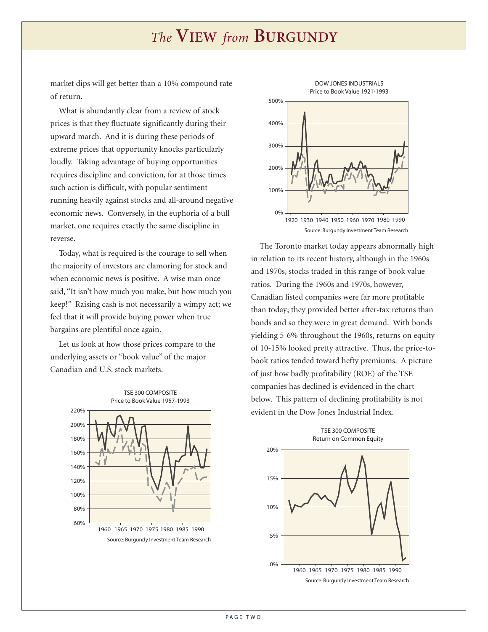## *The* **VIEW** *from* **BURGUNDY**

market dips will get better than a 10% compound rate of return.

What is abundantly clear from a review of stock prices is that they fluctuate significantly during their upward march. And it is during these periods of extreme prices that opportunity knocks particularly loudly. Taking advantage of buying opportunities requires discipline and conviction, for at those times such action is difficult, with popular sentiment running heavily against stocks and all-around negative economic news. Conversely, in the euphoria of a bull market, one requires exactly the same discipline in reverse.

Today, what is required is the courage to sell when the majority of investors are clamoring for stock and when economic news is positive. A wise man once said, "It isn't how much you make, but how much you keep!" Raising cash is not necessarily a wimpy act; we feel that it will provide buying power when true bargains are plentiful once again.

Let us look at how those prices compare to the underlying assets or "book value" of the major Canadian and U.S. stock markets.





The Toronto market today appears abnormally high in relation to its recent history, although in the 1960s and 1970s, stocks traded in this range of book value ratios. During the 1960s and 1970s, however, Canadian listed companies were far more profitable than today; they provided better after-tax returns than bonds and so they were in great demand. With bonds yielding 5-6% throughout the 1960s, returns on equity of 10-15% looked pretty attractive. Thus, the price-tobook ratios tended toward hefty premiums. A picture of just how badly profitability (ROE) of the TSE companies has declined is evidenced in the chart below. This pattern of declining profitability is not evident in the Dow Jones Industrial Index.

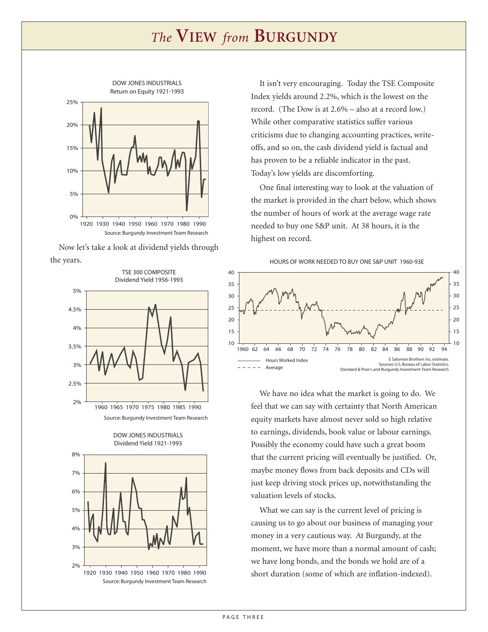### *The* **VIEW** *from* **BURGUNDY**



Source: Burgundy Investment Team Research

Now let's take a look at dividend yields through the years.





DOW JONES INDUSTRIALS





It isn't very encouraging. Today the TSE Composite Index yields around 2.2%, which is the lowest on the record. (The Dow is at 2.6% – also at a record low.) While other comparative statistics suffer various criticisms due to changing accounting practices, writeoffs, and so on, the cash dividend yield is factual and has proven to be a reliable indicator in the past. Today's low yields are discomforting.

One final interesting way to look at the valuation of the market is provided in the chart below, which shows the number of hours of work at the average wage rate needed to buy one S&P unit. At 38 hours, it is the highest on record.



We have no idea what the market is going to do. We feel that we can say with certainty that North American equity markets have almost never sold so high relative to earnings, dividends, book value or labour earnings. Possibly the economy could have such a great boom that the current pricing will eventually be justified. Or, maybe money flows from back deposits and CDs will just keep driving stock prices up, notwithstanding the valuation levels of stocks.

What we can say is the current level of pricing is causing us to go about our business of managing your money in a very cautious way. At Burgundy, at the moment, we have more than a normal amount of cash; we have long bonds, and the bonds we hold are of a short duration (some of which are inflation-indexed).